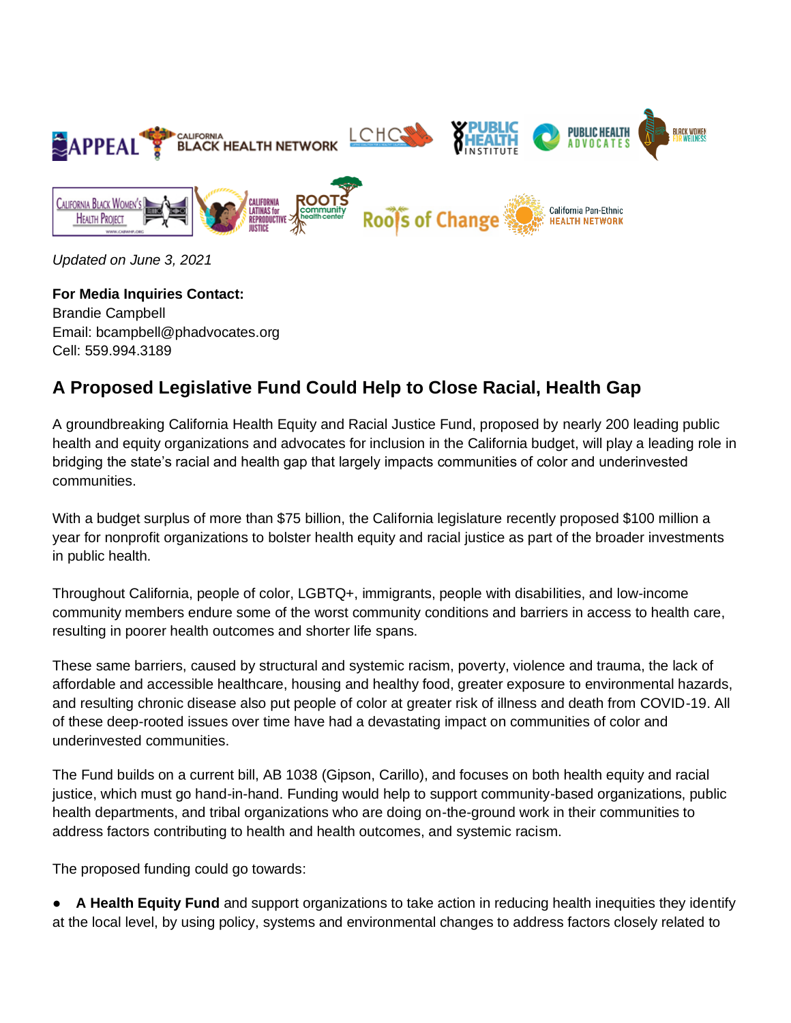

*Updated on June 3, 2021*

**For Media Inquiries Contact:**  Brandie Campbell Email: bcampbell@phadvocates.org Cell: 559.994.3189

## **A Proposed Legislative Fund Could Help to Close Racial, Health Gap**

A groundbreaking California Health Equity and Racial Justice Fund, proposed by nearly 200 leading public health and equity organizations and advocates for inclusion in the California budget, will play a leading role in bridging the state's racial and health gap that largely impacts communities of color and underinvested communities.

With a budget surplus of more than \$75 billion, the California legislature recently proposed \$100 million a year for nonprofit organizations to bolster health equity and racial justice as part of the broader investments in public health.

Throughout California, people of color, LGBTQ+, immigrants, people with disabilities, and low-income community members endure some of the worst community conditions and barriers in access to health care, resulting in poorer health outcomes and shorter life spans.

These same barriers, caused by structural and systemic racism, poverty, violence and trauma, the lack of affordable and accessible healthcare, housing and healthy food, greater exposure to environmental hazards, and resulting chronic disease also put people of color at greater risk of illness and death from COVID-19. All of these deep-rooted issues over time have had a devastating impact on communities of color and underinvested communities.

The Fund builds on a current bill, AB 1038 (Gipson, Carillo), and focuses on both health equity and racial justice, which must go hand-in-hand. Funding would help to support community-based organizations, public health departments, and tribal organizations who are doing on-the-ground work in their communities to address factors contributing to health and health outcomes, and systemic racism.

The proposed funding could go towards:

A **Health Equity Fund** and support organizations to take action in reducing health inequities they identify at the local level, by using policy, systems and environmental changes to address factors closely related to